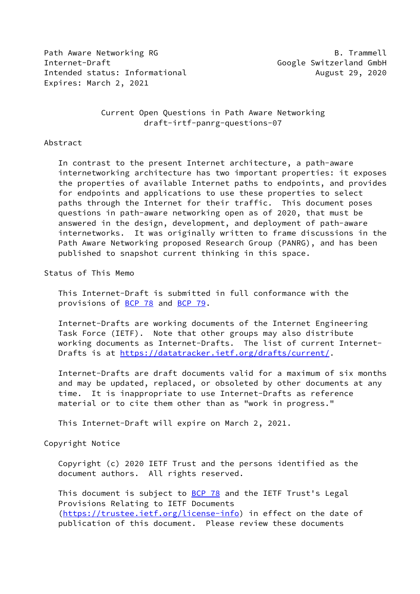Path Aware Networking RG B. Trammell Internet-Draft Google Switzerland GmbH Intended status: Informational and August 29, 2020 Expires: March 2, 2021

 Current Open Questions in Path Aware Networking draft-irtf-panrg-questions-07

#### Abstract

 In contrast to the present Internet architecture, a path-aware internetworking architecture has two important properties: it exposes the properties of available Internet paths to endpoints, and provides for endpoints and applications to use these properties to select paths through the Internet for their traffic. This document poses questions in path-aware networking open as of 2020, that must be answered in the design, development, and deployment of path-aware internetworks. It was originally written to frame discussions in the Path Aware Networking proposed Research Group (PANRG), and has been published to snapshot current thinking in this space.

Status of This Memo

 This Internet-Draft is submitted in full conformance with the provisions of [BCP 78](https://datatracker.ietf.org/doc/pdf/bcp78) and [BCP 79](https://datatracker.ietf.org/doc/pdf/bcp79).

 Internet-Drafts are working documents of the Internet Engineering Task Force (IETF). Note that other groups may also distribute working documents as Internet-Drafts. The list of current Internet- Drafts is at<https://datatracker.ietf.org/drafts/current/>.

 Internet-Drafts are draft documents valid for a maximum of six months and may be updated, replaced, or obsoleted by other documents at any time. It is inappropriate to use Internet-Drafts as reference material or to cite them other than as "work in progress."

This Internet-Draft will expire on March 2, 2021.

Copyright Notice

 Copyright (c) 2020 IETF Trust and the persons identified as the document authors. All rights reserved.

This document is subject to **[BCP 78](https://datatracker.ietf.org/doc/pdf/bcp78)** and the IETF Trust's Legal Provisions Relating to IETF Documents [\(https://trustee.ietf.org/license-info](https://trustee.ietf.org/license-info)) in effect on the date of publication of this document. Please review these documents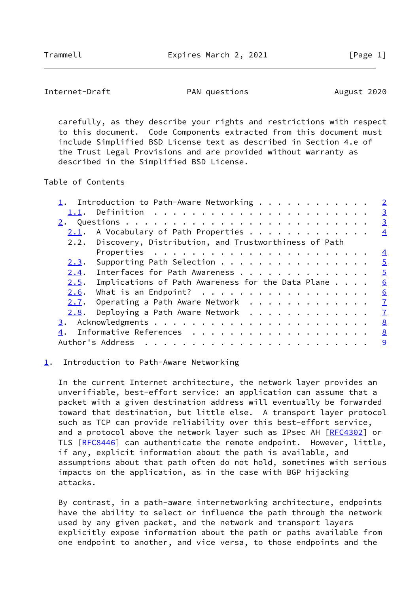```
Internet-Draft PAN questions PAN destions August 2020
```
 carefully, as they describe your rights and restrictions with respect to this document. Code Components extracted from this document must include Simplified BSD License text as described in Section 4.e of the Trust Legal Provisions and are provided without warranty as described in the Simplified BSD License.

Table of Contents

|      | 1. Introduction to Path-Aware Networking $\dots \dots \dots \dots$ | $\overline{2}$ |
|------|--------------------------------------------------------------------|----------------|
|      | $\frac{3}{2}$                                                      |                |
|      |                                                                    | $\overline{3}$ |
| 2.1. | A Vocabulary of Path Properties 4                                  |                |
|      | 2.2. Discovery, Distribution, and Trustworthiness of Path          |                |
|      |                                                                    |                |
| 2.3. | Supporting Path Selection<br>$\overline{5}$                        |                |
| 2.4. | Interfaces for Path Awareness 5                                    |                |
| 2.5. | Implications of Path Awareness for the Data Plane<br>6             |                |
| 2.6. | What is an Endpoint? 6                                             |                |
|      | 2.7. Operating a Path Aware Network $\frac{7}{2}$                  |                |
| 2.8. | Deploying a Path Aware Network 7                                   |                |
|      |                                                                    |                |
| 4.   | Informative References 8                                           |                |
|      |                                                                    |                |

#### <span id="page-1-0"></span>[1](#page-1-0). Introduction to Path-Aware Networking

 In the current Internet architecture, the network layer provides an unverifiable, best-effort service: an application can assume that a packet with a given destination address will eventually be forwarded toward that destination, but little else. A transport layer protocol such as TCP can provide reliability over this best-effort service, and a protocol above the network layer such as IPsec AH [\[RFC4302](https://datatracker.ietf.org/doc/pdf/rfc4302)] or TLS [\[RFC8446](https://datatracker.ietf.org/doc/pdf/rfc8446)] can authenticate the remote endpoint. However, little, if any, explicit information about the path is available, and assumptions about that path often do not hold, sometimes with serious impacts on the application, as in the case with BGP hijacking attacks.

 By contrast, in a path-aware internetworking architecture, endpoints have the ability to select or influence the path through the network used by any given packet, and the network and transport layers explicitly expose information about the path or paths available from one endpoint to another, and vice versa, to those endpoints and the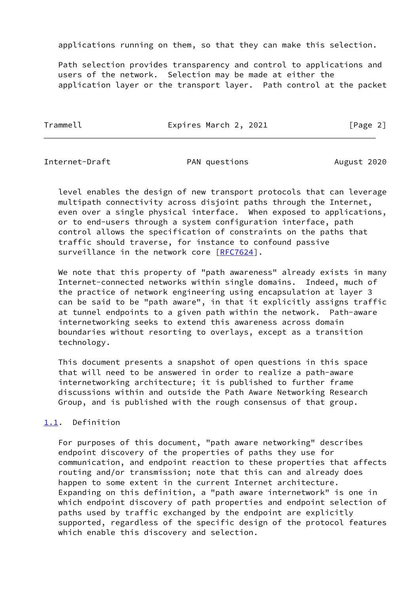applications running on them, so that they can make this selection.

 Path selection provides transparency and control to applications and users of the network. Selection may be made at either the application layer or the transport layer. Path control at the packet

Trammell **Expires March 2, 2021** [Page 2]

<span id="page-2-1"></span>Internet-Draft **PAN questions** PAN duestions August 2020

 level enables the design of new transport protocols that can leverage multipath connectivity across disjoint paths through the Internet, even over a single physical interface. When exposed to applications, or to end-users through a system configuration interface, path control allows the specification of constraints on the paths that traffic should traverse, for instance to confound passive surveillance in the network core [\[RFC7624](https://datatracker.ietf.org/doc/pdf/rfc7624)].

We note that this property of "path awareness" already exists in many Internet-connected networks within single domains. Indeed, much of the practice of network engineering using encapsulation at layer 3 can be said to be "path aware", in that it explicitly assigns traffic at tunnel endpoints to a given path within the network. Path-aware internetworking seeks to extend this awareness across domain boundaries without resorting to overlays, except as a transition technology.

 This document presents a snapshot of open questions in this space that will need to be answered in order to realize a path-aware internetworking architecture; it is published to further frame discussions within and outside the Path Aware Networking Research Group, and is published with the rough consensus of that group.

# <span id="page-2-0"></span>[1.1](#page-2-0). Definition

 For purposes of this document, "path aware networking" describes endpoint discovery of the properties of paths they use for communication, and endpoint reaction to these properties that affects routing and/or transmission; note that this can and already does happen to some extent in the current Internet architecture. Expanding on this definition, a "path aware internetwork" is one in which endpoint discovery of path properties and endpoint selection of paths used by traffic exchanged by the endpoint are explicitly supported, regardless of the specific design of the protocol features which enable this discovery and selection.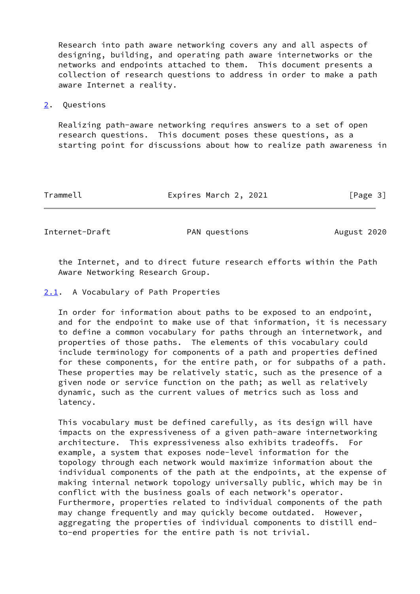Research into path aware networking covers any and all aspects of designing, building, and operating path aware internetworks or the networks and endpoints attached to them. This document presents a collection of research questions to address in order to make a path aware Internet a reality.

<span id="page-3-0"></span>[2](#page-3-0). Questions

 Realizing path-aware networking requires answers to a set of open research questions. This document poses these questions, as a starting point for discussions about how to realize path awareness in

Trammell **Expires March 2, 2021** [Page 3]

<span id="page-3-2"></span>Internet-Draft **PAN** questions PAN August 2020

 the Internet, and to direct future research efforts within the Path Aware Networking Research Group.

<span id="page-3-1"></span>[2.1](#page-3-1). A Vocabulary of Path Properties

 In order for information about paths to be exposed to an endpoint, and for the endpoint to make use of that information, it is necessary to define a common vocabulary for paths through an internetwork, and properties of those paths. The elements of this vocabulary could include terminology for components of a path and properties defined for these components, for the entire path, or for subpaths of a path. These properties may be relatively static, such as the presence of a given node or service function on the path; as well as relatively dynamic, such as the current values of metrics such as loss and latency.

 This vocabulary must be defined carefully, as its design will have impacts on the expressiveness of a given path-aware internetworking architecture. This expressiveness also exhibits tradeoffs. For example, a system that exposes node-level information for the topology through each network would maximize information about the individual components of the path at the endpoints, at the expense of making internal network topology universally public, which may be in conflict with the business goals of each network's operator. Furthermore, properties related to individual components of the path may change frequently and may quickly become outdated. However, aggregating the properties of individual components to distill end to-end properties for the entire path is not trivial.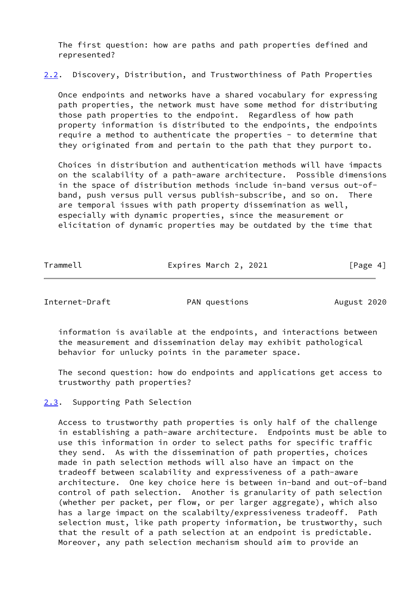The first question: how are paths and path properties defined and represented?

<span id="page-4-2"></span>[2.2](#page-4-2). Discovery, Distribution, and Trustworthiness of Path Properties

 Once endpoints and networks have a shared vocabulary for expressing path properties, the network must have some method for distributing those path properties to the endpoint. Regardless of how path property information is distributed to the endpoints, the endpoints require a method to authenticate the properties - to determine that they originated from and pertain to the path that they purport to.

 Choices in distribution and authentication methods will have impacts on the scalability of a path-aware architecture. Possible dimensions in the space of distribution methods include in-band versus out-of band, push versus pull versus publish-subscribe, and so on. There are temporal issues with path property dissemination as well, especially with dynamic properties, since the measurement or elicitation of dynamic properties may be outdated by the time that

| Trammell | Expires March 2, 2021 | [Page 4] |
|----------|-----------------------|----------|
|          |                       |          |

<span id="page-4-1"></span>Internet-Draft **PAN questions** PAN duestions August 2020

 information is available at the endpoints, and interactions between the measurement and dissemination delay may exhibit pathological behavior for unlucky points in the parameter space.

 The second question: how do endpoints and applications get access to trustworthy path properties?

<span id="page-4-0"></span>[2.3](#page-4-0). Supporting Path Selection

 Access to trustworthy path properties is only half of the challenge in establishing a path-aware architecture. Endpoints must be able to use this information in order to select paths for specific traffic they send. As with the dissemination of path properties, choices made in path selection methods will also have an impact on the tradeoff between scalability and expressiveness of a path-aware architecture. One key choice here is between in-band and out-of-band control of path selection. Another is granularity of path selection (whether per packet, per flow, or per larger aggregate), which also has a large impact on the scalabilty/expressiveness tradeoff. Path selection must, like path property information, be trustworthy, such that the result of a path selection at an endpoint is predictable. Moreover, any path selection mechanism should aim to provide an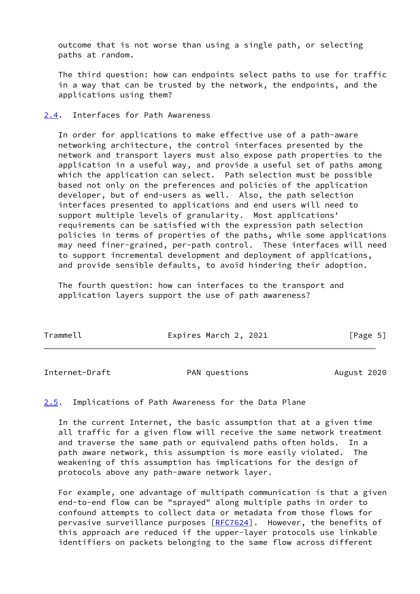outcome that is not worse than using a single path, or selecting paths at random.

 The third question: how can endpoints select paths to use for traffic in a way that can be trusted by the network, the endpoints, and the applications using them?

## <span id="page-5-0"></span>[2.4](#page-5-0). Interfaces for Path Awareness

 In order for applications to make effective use of a path-aware networking architecture, the control interfaces presented by the network and transport layers must also expose path properties to the application in a useful way, and provide a useful set of paths among which the application can select. Path selection must be possible based not only on the preferences and policies of the application developer, but of end-users as well. Also, the path selection interfaces presented to applications and end users will need to support multiple levels of granularity. Most applications' requirements can be satisfied with the expression path selection policies in terms of properties of the paths, while some applications may need finer-grained, per-path control. These interfaces will need to support incremental development and deployment of applications, and provide sensible defaults, to avoid hindering their adoption.

 The fourth question: how can interfaces to the transport and application layers support the use of path awareness?

| Trammell | Expires March 2, 2021 | [Page 5] |
|----------|-----------------------|----------|
|----------|-----------------------|----------|

<span id="page-5-2"></span>Internet-Draft **PAN** questions PAN August 2020

<span id="page-5-1"></span>[2.5](#page-5-1). Implications of Path Awareness for the Data Plane

 In the current Internet, the basic assumption that at a given time all traffic for a given flow will receive the same network treatment and traverse the same path or equivalend paths often holds. In a path aware network, this assumption is more easily violated. The weakening of this assumption has implications for the design of protocols above any path-aware network layer.

 For example, one advantage of multipath communication is that a given end-to-end flow can be "sprayed" along multiple paths in order to confound attempts to collect data or metadata from those flows for pervasive surveillance purposes [\[RFC7624](https://datatracker.ietf.org/doc/pdf/rfc7624)]. However, the benefits of this approach are reduced if the upper-layer protocols use linkable identifiers on packets belonging to the same flow across different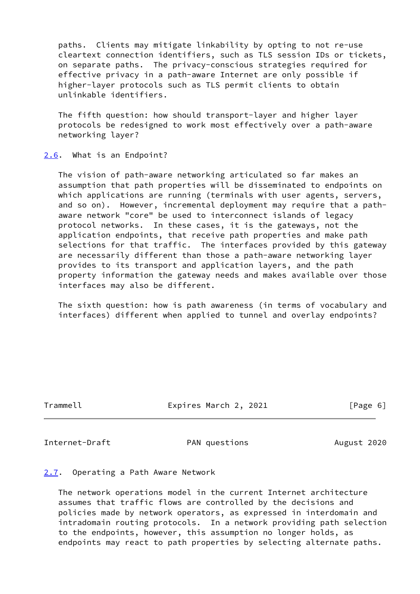paths. Clients may mitigate linkability by opting to not re-use cleartext connection identifiers, such as TLS session IDs or tickets, on separate paths. The privacy-conscious strategies required for effective privacy in a path-aware Internet are only possible if higher-layer protocols such as TLS permit clients to obtain unlinkable identifiers.

 The fifth question: how should transport-layer and higher layer protocols be redesigned to work most effectively over a path-aware networking layer?

## <span id="page-6-0"></span>[2.6](#page-6-0). What is an Endpoint?

 The vision of path-aware networking articulated so far makes an assumption that path properties will be disseminated to endpoints on which applications are running (terminals with user agents, servers, and so on). However, incremental deployment may require that a path aware network "core" be used to interconnect islands of legacy protocol networks. In these cases, it is the gateways, not the application endpoints, that receive path properties and make path selections for that traffic. The interfaces provided by this gateway are necessarily different than those a path-aware networking layer provides to its transport and application layers, and the path property information the gateway needs and makes available over those interfaces may also be different.

 The sixth question: how is path awareness (in terms of vocabulary and interfaces) different when applied to tunnel and overlay endpoints?

Trammell Expires March 2, 2021 [Page 6]

<span id="page-6-2"></span>Internet-Draft **PAN questions** PAN August 2020

### <span id="page-6-1"></span>[2.7](#page-6-1). Operating a Path Aware Network

 The network operations model in the current Internet architecture assumes that traffic flows are controlled by the decisions and policies made by network operators, as expressed in interdomain and intradomain routing protocols. In a network providing path selection to the endpoints, however, this assumption no longer holds, as endpoints may react to path properties by selecting alternate paths.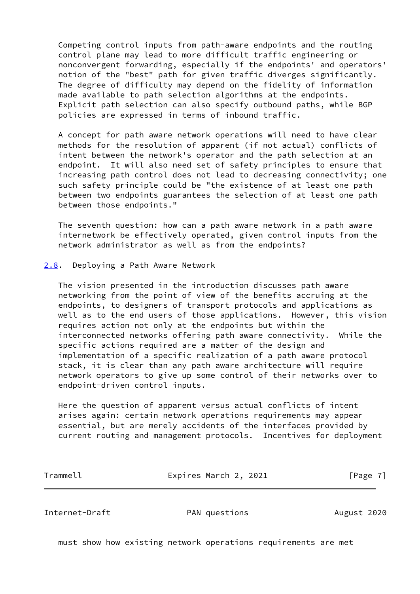Competing control inputs from path-aware endpoints and the routing control plane may lead to more difficult traffic engineering or nonconvergent forwarding, especially if the endpoints' and operators' notion of the "best" path for given traffic diverges significantly. The degree of difficulty may depend on the fidelity of information made available to path selection algorithms at the endpoints. Explicit path selection can also specify outbound paths, while BGP policies are expressed in terms of inbound traffic.

 A concept for path aware network operations will need to have clear methods for the resolution of apparent (if not actual) conflicts of intent between the network's operator and the path selection at an endpoint. It will also need set of safety principles to ensure that increasing path control does not lead to decreasing connectivity; one such safety principle could be "the existence of at least one path between two endpoints guarantees the selection of at least one path between those endpoints."

 The seventh question: how can a path aware network in a path aware internetwork be effectively operated, given control inputs from the network administrator as well as from the endpoints?

### <span id="page-7-0"></span>[2.8](#page-7-0). Deploying a Path Aware Network

 The vision presented in the introduction discusses path aware networking from the point of view of the benefits accruing at the endpoints, to designers of transport protocols and applications as well as to the end users of those applications. However, this vision requires action not only at the endpoints but within the interconnected networks offering path aware connectivity. While the specific actions required are a matter of the design and implementation of a specific realization of a path aware protocol stack, it is clear than any path aware architecture will require network operators to give up some control of their networks over to endpoint-driven control inputs.

 Here the question of apparent versus actual conflicts of intent arises again: certain network operations requirements may appear essential, but are merely accidents of the interfaces provided by current routing and management protocols. Incentives for deployment

Trammell **Expires March 2, 2021** [Page 7]

<span id="page-7-1"></span>Internet-Draft **PAN questions** PAN August 2020

must show how existing network operations requirements are met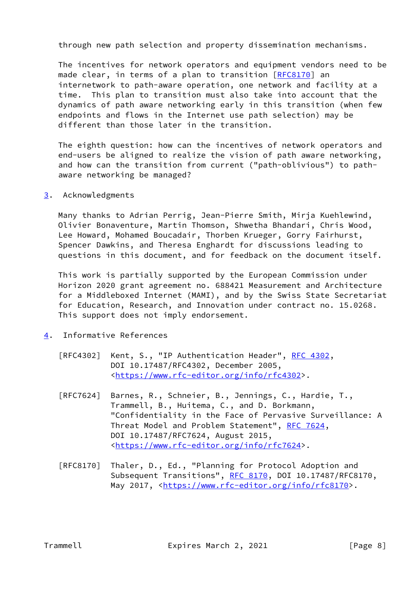through new path selection and property dissemination mechanisms.

 The incentives for network operators and equipment vendors need to be made clear, in terms of a plan to transition [\[RFC8170](https://datatracker.ietf.org/doc/pdf/rfc8170)] an internetwork to path-aware operation, one network and facility at a time. This plan to transition must also take into account that the dynamics of path aware networking early in this transition (when few endpoints and flows in the Internet use path selection) may be different than those later in the transition.

 The eighth question: how can the incentives of network operators and end-users be aligned to realize the vision of path aware networking, and how can the transition from current ("path-oblivious") to path aware networking be managed?

<span id="page-8-0"></span>[3](#page-8-0). Acknowledgments

 Many thanks to Adrian Perrig, Jean-Pierre Smith, Mirja Kuehlewind, Olivier Bonaventure, Martin Thomson, Shwetha Bhandari, Chris Wood, Lee Howard, Mohamed Boucadair, Thorben Krueger, Gorry Fairhurst, Spencer Dawkins, and Theresa Enghardt for discussions leading to questions in this document, and for feedback on the document itself.

 This work is partially supported by the European Commission under Horizon 2020 grant agreement no. 688421 Measurement and Architecture for a Middleboxed Internet (MAMI), and by the Swiss State Secretariat for Education, Research, and Innovation under contract no. 15.0268. This support does not imply endorsement.

- <span id="page-8-1"></span>[4](#page-8-1). Informative References
	- [RFC4302] Kent, S., "IP Authentication Header", [RFC 4302](https://datatracker.ietf.org/doc/pdf/rfc4302), DOI 10.17487/RFC4302, December 2005, <[https://www.rfc-editor.org/info/rfc4302>](https://www.rfc-editor.org/info/rfc4302).
	- [RFC7624] Barnes, R., Schneier, B., Jennings, C., Hardie, T., Trammell, B., Huitema, C., and D. Borkmann, "Confidentiality in the Face of Pervasive Surveillance: A Threat Model and Problem Statement", [RFC 7624](https://datatracker.ietf.org/doc/pdf/rfc7624), DOI 10.17487/RFC7624, August 2015, <[https://www.rfc-editor.org/info/rfc7624>](https://www.rfc-editor.org/info/rfc7624).
	- [RFC8170] Thaler, D., Ed., "Planning for Protocol Adoption and Subsequent Transitions", [RFC 8170,](https://datatracker.ietf.org/doc/pdf/rfc8170) DOI 10.17487/RFC8170, May 2017, [<https://www.rfc-editor.org/info/rfc8170](https://www.rfc-editor.org/info/rfc8170)>.